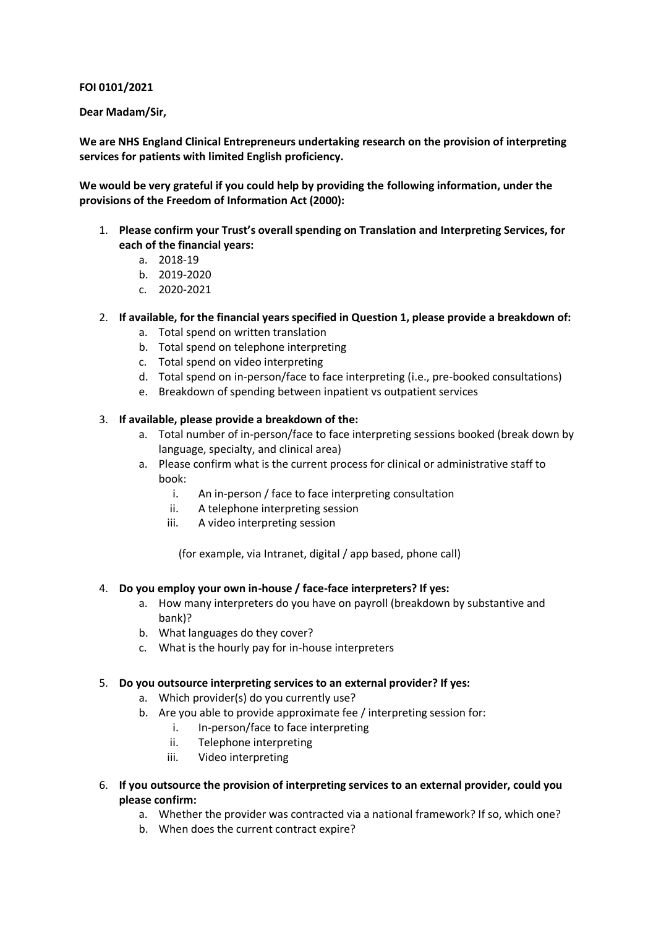**FOI 0101/2021**

**Dear Madam/Sir,**

**We are NHS England Clinical Entrepreneurs undertaking research on the provision of interpreting services for patients with limited English proficiency.**

**We would be very grateful if you could help by providing the following information, under the provisions of the Freedom of Information Act (2000):**

- 1. **Please confirm your Trust's overall spending on Translation and Interpreting Services, for each of the financial years:**
	- a. 2018-19
	- b. 2019-2020
	- c. 2020-2021

## 2. **If available, for the financial years specified in Question 1, please provide a breakdown of:**

- a. Total spend on written translation
- b. Total spend on telephone interpreting
- c. Total spend on video interpreting
- d. Total spend on in-person/face to face interpreting (i.e., pre-booked consultations)
- e. Breakdown of spending between inpatient vs outpatient services

## 3. **If available, please provide a breakdown of the:**

- a. Total number of in-person/face to face interpreting sessions booked (break down by language, specialty, and clinical area)
- a. Please confirm what is the current process for clinical or administrative staff to book:
	- i. An in-person / face to face interpreting consultation
	- ii. A telephone interpreting session
	- iii. A video interpreting session

(for example, via Intranet, digital / app based, phone call)

#### 4. **Do you employ your own in-house / face-face interpreters? If yes:**

- a. How many interpreters do you have on payroll (breakdown by substantive and bank)?
- b. What languages do they cover?
- c. What is the hourly pay for in-house interpreters

#### 5. **Do you outsource interpreting services to an external provider? If yes:**

- a. Which provider(s) do you currently use?
- b. Are you able to provide approximate fee / interpreting session for:
	- i. In-person/face to face interpreting
	- ii. Telephone interpreting
	- iii. Video interpreting
- 6. **If you outsource the provision of interpreting services to an external provider, could you please confirm:**
	- a. Whether the provider was contracted via a national framework? If so, which one?
	- b. When does the current contract expire?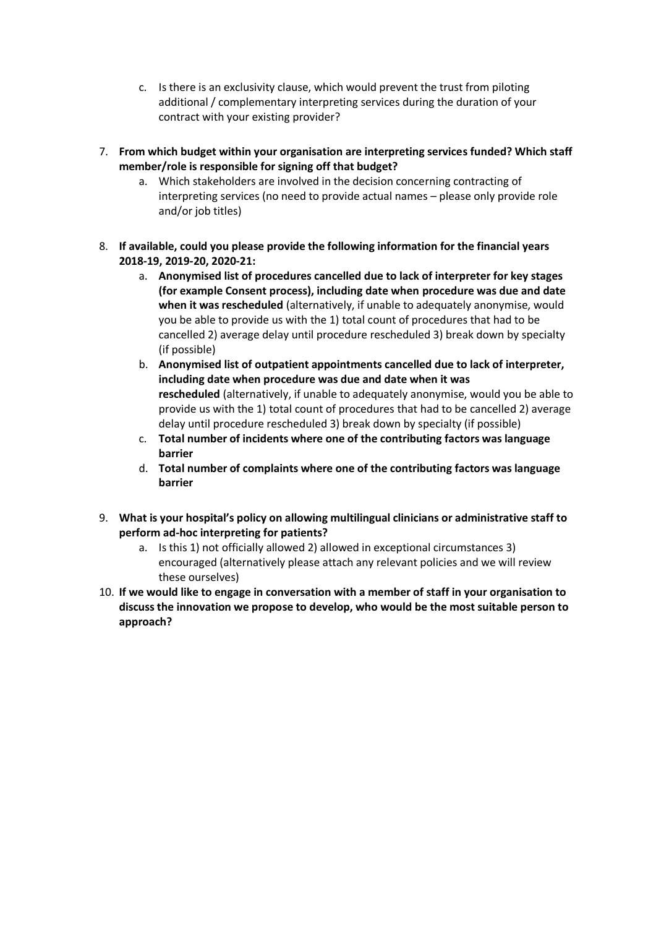- c. Is there is an exclusivity clause, which would prevent the trust from piloting additional / complementary interpreting services during the duration of your contract with your existing provider?
- 7. **From which budget within your organisation are interpreting services funded? Which staff member/role is responsible for signing off that budget?**
	- a. Which stakeholders are involved in the decision concerning contracting of interpreting services (no need to provide actual names – please only provide role and/or job titles)
- 8. **If available, could you please provide the following information for the financial years 2018-19, 2019-20, 2020-21:**
	- a. **Anonymised list of procedures cancelled due to lack of interpreter for key stages (for example Consent process), including date when procedure was due and date when it was rescheduled** (alternatively, if unable to adequately anonymise, would you be able to provide us with the 1) total count of procedures that had to be cancelled 2) average delay until procedure rescheduled 3) break down by specialty (if possible)
	- b. **Anonymised list of outpatient appointments cancelled due to lack of interpreter, including date when procedure was due and date when it was rescheduled** (alternatively, if unable to adequately anonymise, would you be able to provide us with the 1) total count of procedures that had to be cancelled 2) average delay until procedure rescheduled 3) break down by specialty (if possible)
	- c. **Total number of incidents where one of the contributing factors was language barrier**
	- d. **Total number of complaints where one of the contributing factors was language barrier**
- 9. **What is your hospital's policy on allowing multilingual clinicians or administrative staff to perform ad-hoc interpreting for patients?**
	- a. Is this 1) not officially allowed 2) allowed in exceptional circumstances 3) encouraged (alternatively please attach any relevant policies and we will review these ourselves)
- 10. **If we would like to engage in conversation with a member of staff in your organisation to discuss the innovation we propose to develop, who would be the most suitable person to approach?**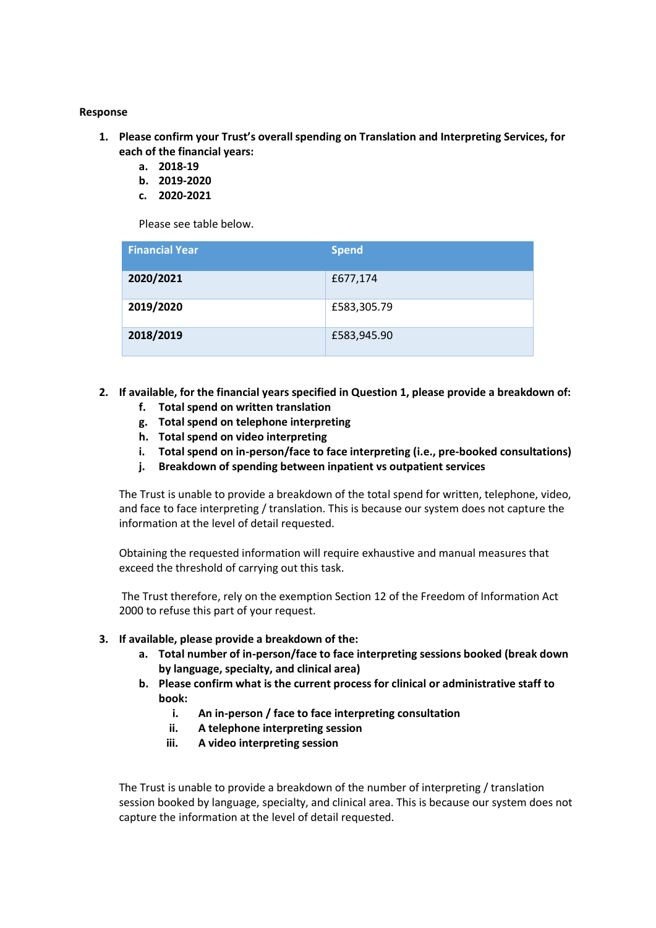### **Response**

- **1. Please confirm your Trust's overall spending on Translation and Interpreting Services, for each of the financial years:**
	- **a. 2018-19**
	- **b. 2019-2020**
	- **c. 2020-2021**

Please see table below.

| <b>Financial Year</b> | <b>Spend</b> |
|-----------------------|--------------|
| 2020/2021             | £677,174     |
| 2019/2020             | £583,305.79  |
| 2018/2019             | £583,945.90  |

- **2. If available, for the financial years specified in Question 1, please provide a breakdown of:**
	- **f. Total spend on written translation**
	- **g. Total spend on telephone interpreting**
	- **h. Total spend on video interpreting**
	- **i. Total spend on in-person/face to face interpreting (i.e., pre-booked consultations)**
	- **j. Breakdown of spending between inpatient vs outpatient services**

The Trust is unable to provide a breakdown of the total spend for written, telephone, video, and face to face interpreting / translation. This is because our system does not capture the information at the level of detail requested.

Obtaining the requested information will require exhaustive and manual measures that exceed the threshold of carrying out this task.

The Trust therefore, rely on the exemption Section 12 of the Freedom of Information Act 2000 to refuse this part of your request.

- **3. If available, please provide a breakdown of the:**
	- **a. Total number of in-person/face to face interpreting sessions booked (break down by language, specialty, and clinical area)**
	- **b. Please confirm what is the current process for clinical or administrative staff to book:**
		- **i. An in-person / face to face interpreting consultation**
		- **ii. A telephone interpreting session**
		- **iii. A video interpreting session**

The Trust is unable to provide a breakdown of the number of interpreting / translation session booked by language, specialty, and clinical area. This is because our system does not capture the information at the level of detail requested.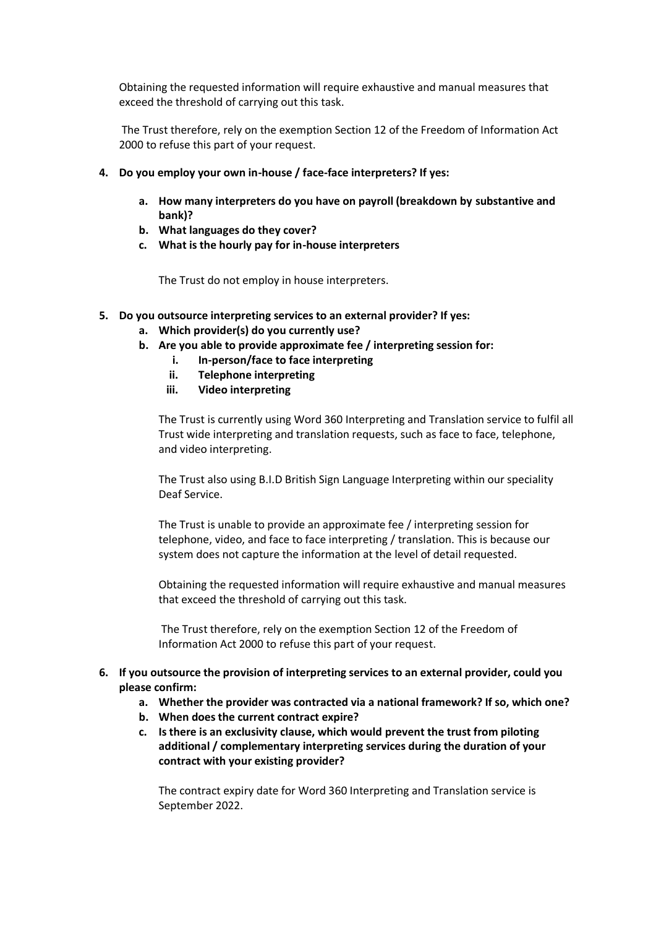Obtaining the requested information will require exhaustive and manual measures that exceed the threshold of carrying out this task.

The Trust therefore, rely on the exemption Section 12 of the Freedom of Information Act 2000 to refuse this part of your request.

- **4. Do you employ your own in-house / face-face interpreters? If yes:**
	- **a. How many interpreters do you have on payroll (breakdown by substantive and bank)?**
	- **b. What languages do they cover?**
	- **c. What is the hourly pay for in-house interpreters**

The Trust do not employ in house interpreters.

- **5. Do you outsource interpreting services to an external provider? If yes:**
	- **a. Which provider(s) do you currently use?**
	- **b. Are you able to provide approximate fee / interpreting session for:**
		- **i. In-person/face to face interpreting**
		- **ii. Telephone interpreting**
		- **iii. Video interpreting**

The Trust is currently using Word 360 Interpreting and Translation service to fulfil all Trust wide interpreting and translation requests, such as face to face, telephone, and video interpreting.

The Trust also using B.I.D British Sign Language Interpreting within our speciality Deaf Service.

The Trust is unable to provide an approximate fee / interpreting session for telephone, video, and face to face interpreting / translation. This is because our system does not capture the information at the level of detail requested.

Obtaining the requested information will require exhaustive and manual measures that exceed the threshold of carrying out this task.

The Trust therefore, rely on the exemption Section 12 of the Freedom of Information Act 2000 to refuse this part of your request.

# **6. If you outsource the provision of interpreting services to an external provider, could you please confirm:**

- **a. Whether the provider was contracted via a national framework? If so, which one?**
- **b. When does the current contract expire?**
- **c. Is there is an exclusivity clause, which would prevent the trust from piloting additional / complementary interpreting services during the duration of your contract with your existing provider?**

The contract expiry date for Word 360 Interpreting and Translation service is September 2022.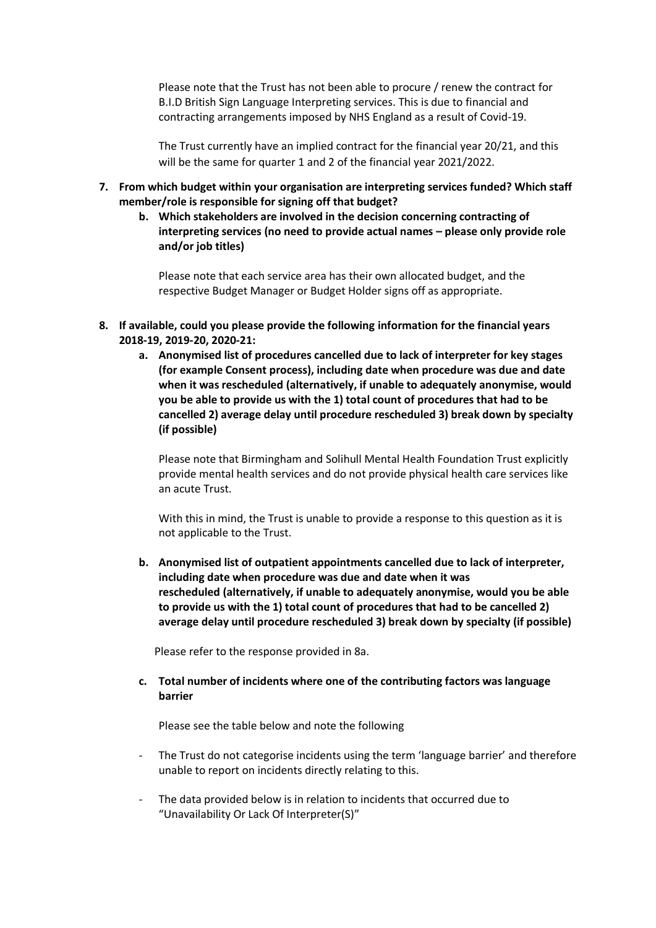Please note that the Trust has not been able to procure / renew the contract for B.I.D British Sign Language Interpreting services. This is due to financial and contracting arrangements imposed by NHS England as a result of Covid-19.

The Trust currently have an implied contract for the financial year 20/21, and this will be the same for quarter 1 and 2 of the financial year 2021/2022.

- **7. From which budget within your organisation are interpreting services funded? Which staff member/role is responsible for signing off that budget?**
	- **b. Which stakeholders are involved in the decision concerning contracting of interpreting services (no need to provide actual names – please only provide role and/or job titles)**

Please note that each service area has their own allocated budget, and the respective Budget Manager or Budget Holder signs off as appropriate.

- **8. If available, could you please provide the following information for the financial years 2018-19, 2019-20, 2020-21:**
	- **a. Anonymised list of procedures cancelled due to lack of interpreter for key stages (for example Consent process), including date when procedure was due and date when it was rescheduled (alternatively, if unable to adequately anonymise, would you be able to provide us with the 1) total count of procedures that had to be cancelled 2) average delay until procedure rescheduled 3) break down by specialty (if possible)**

Please note that Birmingham and Solihull Mental Health Foundation Trust explicitly provide mental health services and do not provide physical health care services like an acute Trust.

With this in mind, the Trust is unable to provide a response to this question as it is not applicable to the Trust.

**b. Anonymised list of outpatient appointments cancelled due to lack of interpreter, including date when procedure was due and date when it was rescheduled (alternatively, if unable to adequately anonymise, would you be able to provide us with the 1) total count of procedures that had to be cancelled 2) average delay until procedure rescheduled 3) break down by specialty (if possible)**

Please refer to the response provided in 8a.

**c. Total number of incidents where one of the contributing factors was language barrier**

Please see the table below and note the following

- The Trust do not categorise incidents using the term 'language barrier' and therefore unable to report on incidents directly relating to this.
- The data provided below is in relation to incidents that occurred due to "Unavailability Or Lack Of Interpreter(S)"